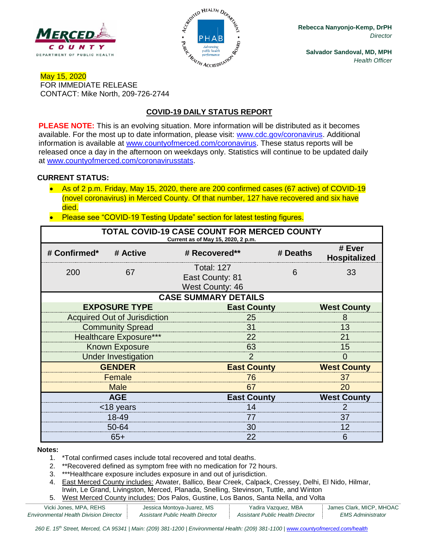



**Rebecca Nanyonjo-Kemp, DrPH** *Director*

**Salvador Sandoval, MD, MPH** *Health Officer*

### May 15, 2020 FOR IMMEDIATE RELEASE CONTACT: Mike North, 209-726-2744

## **COVID-19 DAILY STATUS REPORT**

**PLEASE NOTE:** This is an evolving situation. More information will be distributed as it becomes available. For the most up to date information, please visit: [www.cdc.gov/coronavirus.](http://www.cdc.gov/coronavirus) Additional information is available at [www.countyofmerced.com/coronavirus.](http://www.countyofmerced.com/coronavirus) These status reports will be released once a day in the afternoon on weekdays only. Statistics will continue to be updated daily at [www.countyofmerced.com/coronavirusstats.](http://www.countyofmerced.com/coronavirusstats)

#### **CURRENT STATUS:**

- As of 2 p.m. Friday, May 15, 2020, there are 200 confirmed cases (67 active) of COVID-19 (novel coronavirus) in Merced County. Of that number, 127 have recovered and six have died.
- Please see "COVID-19 Testing Update" section for latest testing figures.

| TOTAL COVID-19 CASE COUNT FOR MERCED COUNTY<br>Current as of May 15, 2020, 2 p.m. |                                     |                                                                |                    |                               |  |  |  |
|-----------------------------------------------------------------------------------|-------------------------------------|----------------------------------------------------------------|--------------------|-------------------------------|--|--|--|
| # Confirmed*                                                                      | # Active                            | # Recovered**                                                  | # Deaths           | # Ever<br><b>Hospitalized</b> |  |  |  |
| 200                                                                               | 67                                  | <b>Total: 127</b><br>East County: 81<br><b>West County: 46</b> | 6                  | 33                            |  |  |  |
| <b>CASE SUMMARY DETAILS</b>                                                       |                                     |                                                                |                    |                               |  |  |  |
|                                                                                   | <b>EXPOSURE TYPE</b>                | <b>East County</b>                                             |                    | <b>West County</b>            |  |  |  |
|                                                                                   | <b>Acquired Out of Jurisdiction</b> | 25                                                             |                    |                               |  |  |  |
|                                                                                   | <b>Community Spread</b>             | 31                                                             |                    |                               |  |  |  |
|                                                                                   | <b>Healthcare Exposure***</b>       | 22                                                             |                    |                               |  |  |  |
|                                                                                   | <b>Known Exposure</b>               | 63                                                             |                    |                               |  |  |  |
|                                                                                   | <b>Under Investigation</b>          | 2                                                              |                    |                               |  |  |  |
| <b>GENDER</b>                                                                     |                                     |                                                                | <b>East County</b> |                               |  |  |  |
| Female                                                                            |                                     | 76                                                             |                    |                               |  |  |  |
| <b>Male</b>                                                                       |                                     | 67                                                             |                    |                               |  |  |  |
| <b>AGE</b>                                                                        |                                     |                                                                | <b>East County</b> |                               |  |  |  |
| <18 years                                                                         |                                     | 14                                                             |                    |                               |  |  |  |
| 18-49                                                                             |                                     | 77                                                             |                    | 37                            |  |  |  |
| 50-64                                                                             |                                     | 30                                                             |                    | 12                            |  |  |  |
| $65+$                                                                             |                                     | 22                                                             |                    | 6                             |  |  |  |

#### **Notes:**

- 1. \*Total confirmed cases include total recovered and total deaths.
- 2. \*\*Recovered defined as symptom free with no medication for 72 hours.
- 3. \*\*\*Healthcare exposure includes exposure in and out of jurisdiction.
- 4. East Merced County includes: Atwater, Ballico, Bear Creek, Calpack, Cressey, Delhi, El Nido, Hilmar, Irwin, Le Grand, Livingston, Merced, Planada, Snelling, Stevinson, Tuttle, and Winton
- 5. West Merced County includes: Dos Palos, Gustine, Los Banos, Santa Nella, and Volta

| Vicki Jones, MPA, REHS                        | Jessica Montoya-Juarez, MS       | Yadira Vazquez, MBA              | James Clark, MICP, MHOAC |
|-----------------------------------------------|----------------------------------|----------------------------------|--------------------------|
| <b>Environmental Health Division Director</b> | Assistant Public Health Director | Assistant Public Health Director | <i>EMS Administrator</i> |

*260 E. 15th Street, Merced, CA 95341 | Main: (209) 381-1200 | Environmental Health: (209) 381-1100* | *[www.countyofmerced.com/health](http://www.countyofmerced.com/health)*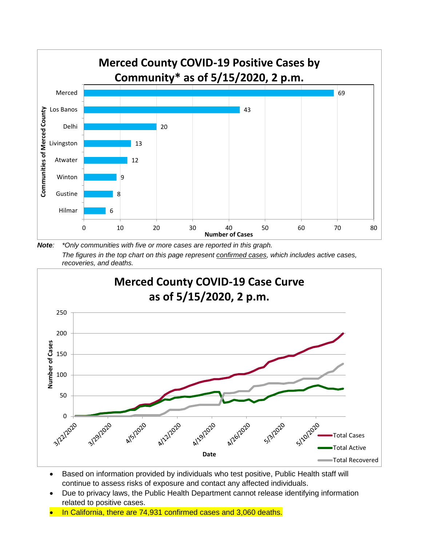

*Note: \*Only communities with five or more cases are reported in this graph. The figures in the top chart on this page represent confirmed cases, which includes active cases, recoveries, and deaths.*



- Based on information provided by individuals who test positive, Public Health staff will continue to assess risks of exposure and contact any affected individuals.
- Due to privacy laws, the Public Health Department cannot release identifying information related to positive cases.
- In California, there are 74,931 confirmed cases and 3,060 deaths.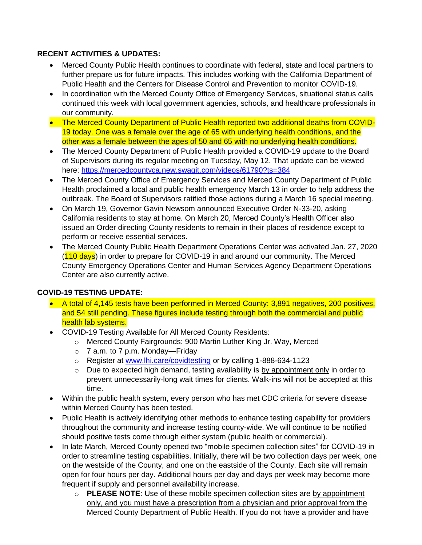### **RECENT ACTIVITIES & UPDATES:**

- Merced County Public Health continues to coordinate with federal, state and local partners to further prepare us for future impacts. This includes working with the California Department of Public Health and the Centers for Disease Control and Prevention to monitor COVID-19.
- In coordination with the Merced County Office of Emergency Services, situational status calls continued this week with local government agencies, schools, and healthcare professionals in our community.
- The Merced County Department of Public Health reported two additional deaths from COVID-19 today. One was a female over the age of 65 with underlying health conditions, and the other was a female between the ages of 50 and 65 with no underlying health conditions.
- The Merced County Department of Public Health provided a COVID-19 update to the Board of Supervisors during its regular meeting on Tuesday, May 12. That update can be viewed here:<https://mercedcountyca.new.swagit.com/videos/61790?ts=384>
- The Merced County Office of Emergency Services and Merced County Department of Public Health proclaimed a local and public health emergency March 13 in order to help address the outbreak. The Board of Supervisors ratified those actions during a March 16 special meeting.
- On March 19, Governor Gavin Newsom announced Executive Order N-33-20, asking California residents to stay at home. On March 20, Merced County's Health Officer also issued an Order directing County residents to remain in their places of residence except to perform or receive essential services.
- The Merced County Public Health Department Operations Center was activated Jan. 27, 2020 (110 days) in order to prepare for COVID-19 in and around our community. The Merced County Emergency Operations Center and Human Services Agency Department Operations Center are also currently active.

# **COVID-19 TESTING UPDATE:**

- A total of 4,145 tests have been performed in Merced County: 3,891 negatives, 200 positives, and 54 still pending. These figures include testing through both the commercial and public health lab systems.
- COVID-19 Testing Available for All Merced County Residents:
	- o Merced County Fairgrounds: 900 Martin Luther King Jr. Way, Merced
	- $\circ$  7 a.m. to 7 p.m. Monday—Friday
	- o Register at [www.lhi.care/covidtesting](http://www.lhi.care/covidtesting) or by calling 1-888-634-1123
	- o Due to expected high demand, testing availability is by appointment only in order to prevent unnecessarily-long wait times for clients. Walk-ins will not be accepted at this time.
- Within the public health system, every person who has met CDC criteria for severe disease within Merced County has been tested.
- Public Health is actively identifying other methods to enhance testing capability for providers throughout the community and increase testing county-wide. We will continue to be notified should positive tests come through either system (public health or commercial).
- In late March, Merced County opened two "mobile specimen collection sites" for COVID-19 in order to streamline testing capabilities. Initially, there will be two collection days per week, one on the westside of the County, and one on the eastside of the County. Each site will remain open for four hours per day. Additional hours per day and days per week may become more frequent if supply and personnel availability increase.
	- o **PLEASE NOTE**: Use of these mobile specimen collection sites are by appointment only, and you must have a prescription from a physician and prior approval from the Merced County Department of Public Health. If you do not have a provider and have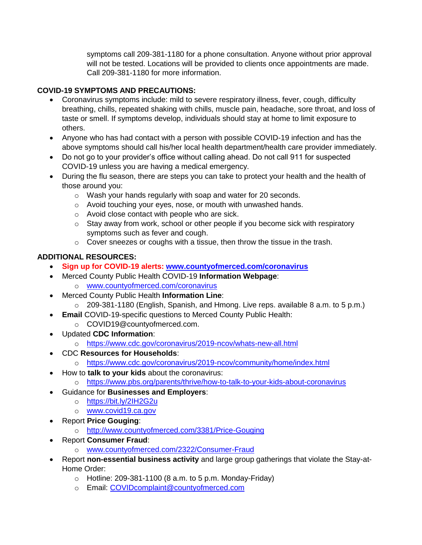symptoms call 209-381-1180 for a phone consultation. Anyone without prior approval will not be tested. Locations will be provided to clients once appointments are made. Call 209-381-1180 for more information.

## **COVID-19 SYMPTOMS AND PRECAUTIONS:**

- Coronavirus symptoms include: mild to severe respiratory illness, fever, cough, difficulty breathing, chills, repeated shaking with chills, muscle pain, headache, sore throat, and loss of taste or smell. If symptoms develop, individuals should stay at home to limit exposure to others.
- Anyone who has had contact with a person with possible COVID-19 infection and has the above symptoms should call his/her local health department/health care provider immediately.
- Do not go to your provider's office without calling ahead. Do not call 911 for suspected COVID-19 unless you are having a medical emergency.
- During the flu season, there are steps you can take to protect your health and the health of those around you:
	- o Wash your hands regularly with soap and water for 20 seconds.
	- o Avoid touching your eyes, nose, or mouth with unwashed hands.
	- o Avoid close contact with people who are sick.
	- o Stay away from work, school or other people if you become sick with respiratory symptoms such as fever and cough.
	- o Cover sneezes or coughs with a tissue, then throw the tissue in the trash.

# **ADDITIONAL RESOURCES:**

- **Sign up for COVID-19 alerts: [www.countyofmerced.com/coronavirus](http://www.countyofmerced.com/coronavirus)**
- Merced County Public Health COVID-19 **Information Webpage**:
	- o [www.countyofmerced.com/coronavirus](http://www.countyofmerced.com/coronavirus)
- Merced County Public Health **Information Line**:
	- o 209-381-1180 (English, Spanish, and Hmong. Live reps. available 8 a.m. to 5 p.m.)
- **Email** COVID-19-specific questions to Merced County Public Health:
	- o COVID19@countyofmerced.com.
- Updated **CDC Information**:
	- o <https://www.cdc.gov/coronavirus/2019-ncov/whats-new-all.html>
- CDC **Resources for Households**:
	- o <https://www.cdc.gov/coronavirus/2019-ncov/community/home/index.html>
	- How to **talk to your kids** about the coronavirus:
		- o <https://www.pbs.org/parents/thrive/how-to-talk-to-your-kids-about-coronavirus>
- Guidance for **Businesses and Employers**:
	- o <https://bit.ly/2IH2G2u>
	- o [www.covid19.ca.gov](http://www.covid19.ca.gov/)
- Report **Price Gouging**:
	- o <http://www.countyofmerced.com/3381/Price-Gouging>
- Report **Consumer Fraud**:
	- o [www.countyofmerced.com/2322/Consumer-Fraud](http://www.countyofmerced.com/2322/Consumer-Fraud)
- Report **non-essential business activity** and large group gatherings that violate the Stay-at-Home Order:
	- $\circ$  Hotline: 209-381-1100 (8 a.m. to 5 p.m. Monday-Friday)
	- o Email: [COVIDcomplaint@countyofmerced.com](mailto:COVIDcomplaint@countyofmerced.com)